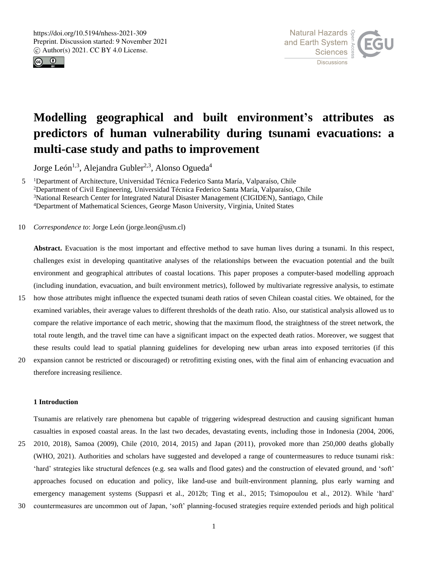



# **Modelling geographical and built environment's attributes as predictors of human vulnerability during tsunami evacuations: a multi-case study and paths to improvement**

Jorge León<sup>1,3</sup>, Alejandra Gubler<sup>2,3</sup>, Alonso Ogueda<sup>4</sup>

5 <sup>1</sup>Department of Architecture, Universidad Técnica Federico Santa María, Valparaíso, Chile <sup>2</sup>Department of Civil Engineering, Universidad Técnica Federico Santa María, Valparaíso, Chile <sup>3</sup>National Research Center for Integrated Natural Disaster Management (CIGIDEN), Santiago, Chile <sup>4</sup>Department of Mathematical Sciences, George Mason University, Virginia, United States

10 *Correspondence to*: Jorge León (jorge.leon@usm.cl)

**Abstract.** Evacuation is the most important and effective method to save human lives during a tsunami. In this respect, challenges exist in developing quantitative analyses of the relationships between the evacuation potential and the built environment and geographical attributes of coastal locations. This paper proposes a computer-based modelling approach (including inundation, evacuation, and built environment metrics), followed by multivariate regressive analysis, to estimate

- 15 how those attributes might influence the expected tsunami death ratios of seven Chilean coastal cities. We obtained, for the examined variables, their average values to different thresholds of the death ratio. Also, our statistical analysis allowed us to compare the relative importance of each metric, showing that the maximum flood, the straightness of the street network, the total route length, and the travel time can have a significant impact on the expected death ratios. Moreover, we suggest that these results could lead to spatial planning guidelines for developing new urban areas into exposed territories (if this
- 20 expansion cannot be restricted or discouraged) or retrofitting existing ones, with the final aim of enhancing evacuation and therefore increasing resilience.

### **1 Introduction**

Tsunamis are relatively rare phenomena but capable of triggering widespread destruction and causing significant human casualties in exposed coastal areas. In the last two decades, devastating events, including those in Indonesia (2004, 2006,

- 25 2010, 2018), Samoa (2009), Chile (2010, 2014, 2015) and Japan (2011), provoked more than 250,000 deaths globally (WHO, 2021). Authorities and scholars have suggested and developed a range of countermeasures to reduce tsunami risk: 'hard' strategies like structural defences (e.g. sea walls and flood gates) and the construction of elevated ground, and 'soft' approaches focused on education and policy, like land-use and built-environment planning, plus early warning and emergency management systems (Suppasri et al., 2012b; Ting et al., 2015; Tsimopoulou et al., 2012). While 'hard'
- 30 countermeasures are uncommon out of Japan, 'soft' planning-focused strategies require extended periods and high political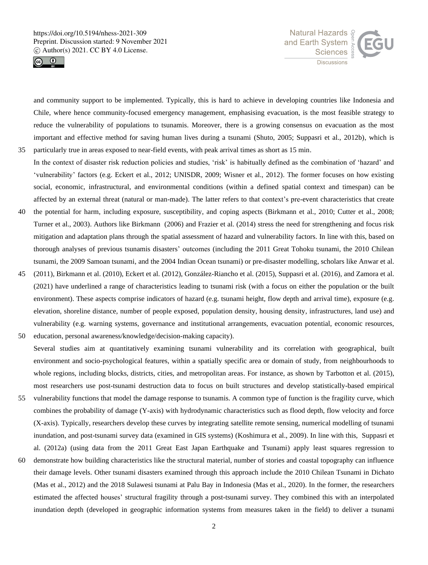



and community support to be implemented. Typically, this is hard to achieve in developing countries like Indonesia and Chile, where hence community-focused emergency management, emphasising evacuation, is the most feasible strategy to reduce the vulnerability of populations to tsunamis. Moreover, there is a growing consensus on evacuation as the most important and effective method for saving human lives during a tsunami (Shuto, 2005; Suppasri et al., 2012b), which is 35 particularly true in areas exposed to near-field events, with peak arrival times as short as 15 min.

- In the context of disaster risk reduction policies and studies, 'risk' is habitually defined as the combination of 'hazard' and 'vulnerability' factors (e.g. Eckert et al., 2012; UNISDR, 2009; Wisner et al., 2012). The former focuses on how existing social, economic, infrastructural, and environmental conditions (within a defined spatial context and timespan) can be affected by an external threat (natural or man-made). The latter refers to that context's pre-event characteristics that create
- 40 the potential for harm, including exposure, susceptibility, and coping aspects (Birkmann et al., 2010; Cutter et al., 2008; Turner et al., 2003). Authors like Birkmann (2006) and Frazier et al. (2014) stress the need for strengthening and focus risk mitigation and adaptation plans through the spatial assessment of hazard and vulnerability factors. In line with this, based on thorough analyses of previous tsunamis disasters' outcomes (including the 2011 Great Tohoku tsunami, the 2010 Chilean tsunami, the 2009 Samoan tsunami, and the 2004 Indian Ocean tsunami) or pre-disaster modelling, scholars like Anwar et al.
- 45 (2011), Birkmann et al. (2010), Eckert et al. (2012), González-Riancho et al. (2015), Suppasri et al. (2016), and Zamora et al. (2021) have underlined a range of characteristics leading to tsunami risk (with a focus on either the population or the built environment). These aspects comprise indicators of hazard (e.g. tsunami height, flow depth and arrival time), exposure (e.g. elevation, shoreline distance, number of people exposed, population density, housing density, infrastructures, land use) and vulnerability (e.g. warning systems, governance and institutional arrangements, evacuation potential, economic resources, 50 education, personal awareness/knowledge/decision-making capacity).
- Several studies aim at quantitatively examining tsunami vulnerability and its correlation with geographical, built environment and socio-psychological features, within a spatially specific area or domain of study, from neighbourhoods to whole regions, including blocks, districts, cities, and metropolitan areas. For instance, as shown by Tarbotton et al. (2015), most researchers use post-tsunami destruction data to focus on built structures and develop statistically-based empirical
- 55 vulnerability functions that model the damage response to tsunamis. A common type of function is the fragility curve, which combines the probability of damage (Y-axis) with hydrodynamic characteristics such as flood depth, flow velocity and force (X-axis). Typically, researchers develop these curves by integrating satellite remote sensing, numerical modelling of tsunami inundation, and post-tsunami survey data (examined in GIS systems) (Koshimura et al., 2009). In line with this, Suppasri et
- al. (2012a) (using data from the 2011 Great East Japan Earthquake and Tsunami) apply least squares regression to 60 demonstrate how building characteristics like the structural material, number of stories and coastal topography can influence their damage levels. Other tsunami disasters examined through this approach include the 2010 Chilean Tsunami in Dichato (Mas et al., 2012) and the 2018 Sulawesi tsunami at Palu Bay in Indonesia (Mas et al., 2020). In the former, the researchers estimated the affected houses' structural fragility through a post-tsunami survey. They combined this with an interpolated inundation depth (developed in geographic information systems from measures taken in the field) to deliver a tsunami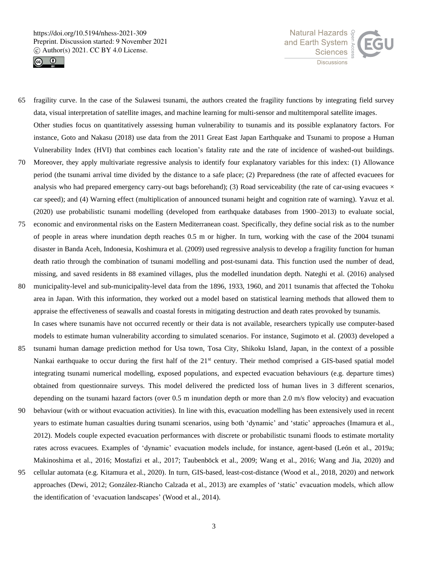



- 65 fragility curve. In the case of the Sulawesi tsunami, the authors created the fragility functions by integrating field survey data, visual interpretation of satellite images, and machine learning for multi-sensor and multitemporal satellite images. Other studies focus on quantitatively assessing human vulnerability to tsunamis and its possible explanatory factors. For instance, Goto and Nakasu (2018) use data from the 2011 Great East Japan Earthquake and Tsunami to propose a Human Vulnerability Index (HVI) that combines each location's fatality rate and the rate of incidence of washed-out buildings.
- 70 Moreover, they apply multivariate regressive analysis to identify four explanatory variables for this index: (1) Allowance period (the tsunami arrival time divided by the distance to a safe place; (2) Preparedness (the rate of affected evacuees for analysis who had prepared emergency carry-out bags beforehand); (3) Road serviceability (the rate of car-using evacuees  $\times$ car speed); and (4) Warning effect (multiplication of announced tsunami height and cognition rate of warning). Yavuz et al. (2020) use probabilistic tsunami modelling (developed from earthquake databases from 1900–2013) to evaluate social,
- 75 economic and environmental risks on the Eastern Mediterranean coast. Specifically, they define social risk as to the number of people in areas where inundation depth reaches 0.5 m or higher. In turn, working with the case of the 2004 tsunami disaster in Banda Aceh, Indonesia, Koshimura et al. (2009) used regressive analysis to develop a fragility function for human death ratio through the combination of tsunami modelling and post-tsunami data. This function used the number of dead, missing, and saved residents in 88 examined villages, plus the modelled inundation depth. Nateghi et al. (2016) analysed
- 80 municipality-level and sub-municipality-level data from the 1896, 1933, 1960, and 2011 tsunamis that affected the Tohoku area in Japan. With this information, they worked out a model based on statistical learning methods that allowed them to appraise the effectiveness of seawalls and coastal forests in mitigating destruction and death rates provoked by tsunamis. In cases where tsunamis have not occurred recently or their data is not available, researchers typically use computer-based

models to estimate human vulnerability according to simulated scenarios. For instance, Sugimoto et al. (2003) developed a

- 85 tsunami human damage prediction method for Usa town, Tosa City, Shikoku Island, Japan, in the context of a possible Nankai earthquake to occur during the first half of the 21<sup>st</sup> century. Their method comprised a GIS-based spatial model integrating tsunami numerical modelling, exposed populations, and expected evacuation behaviours (e.g. departure times) obtained from questionnaire surveys. This model delivered the predicted loss of human lives in 3 different scenarios, depending on the tsunami hazard factors (over 0.5 m inundation depth or more than 2.0 m/s flow velocity) and evacuation
- 90 behaviour (with or without evacuation activities). In line with this, evacuation modelling has been extensively used in recent years to estimate human casualties during tsunami scenarios, using both 'dynamic' and 'static' approaches (Imamura et al., 2012). Models couple expected evacuation performances with discrete or probabilistic tsunami floods to estimate mortality rates across evacuees. Examples of 'dynamic' evacuation models include, for instance, agent-based (León et al., 2019a; Makinoshima et al., 2016; Mostafizi et al., 2017; Taubenböck et al., 2009; Wang et al., 2016; Wang and Jia, 2020) and
- 95 cellular automata (e.g. Kitamura et al., 2020). In turn, GIS-based, least-cost-distance (Wood et al., 2018, 2020) and network approaches (Dewi, 2012; González-Riancho Calzada et al., 2013) are examples of 'static' evacuation models, which allow the identification of 'evacuation landscapes' (Wood et al., 2014).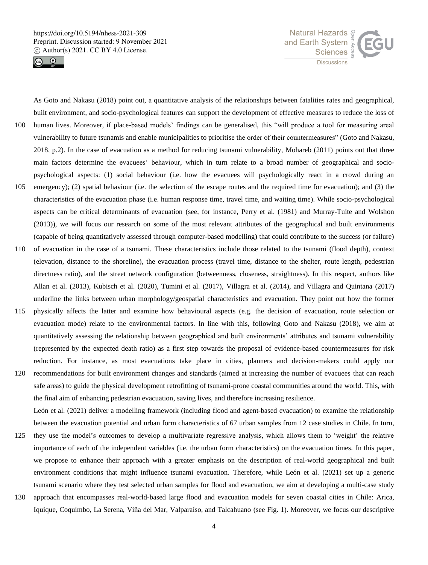



As Goto and Nakasu (2018) point out, a quantitative analysis of the relationships between fatalities rates and geographical, built environment, and socio-psychological features can support the development of effective measures to reduce the loss of 100 human lives. Moreover, if place-based models' findings can be generalised, this "will produce a tool for measuring areal vulnerability to future tsunamis and enable municipalities to prioritise the order of their countermeasures" (Goto and Nakasu, 2018, p.2). In the case of evacuation as a method for reducing tsunami vulnerability, Mohareb (2011) points out that three main factors determine the evacuees' behaviour, which in turn relate to a broad number of geographical and sociopsychological aspects: (1) social behaviour (i.e. how the evacuees will psychologically react in a crowd during an 105 emergency); (2) spatial behaviour (i.e. the selection of the escape routes and the required time for evacuation); and (3) the characteristics of the evacuation phase (i.e. human response time, travel time, and waiting time). While socio-psychological aspects can be critical determinants of evacuation (see, for instance, Perry et al. (1981) and Murray-Tuite and Wolshon (2013)), we will focus our research on some of the most relevant attributes of the geographical and built environments (capable of being quantitatively assessed through computer-based modelling) that could contribute to the success (or failure)

- 110 of evacuation in the case of a tsunami. These characteristics include those related to the tsunami (flood depth), context (elevation, distance to the shoreline), the evacuation process (travel time, distance to the shelter, route length, pedestrian directness ratio), and the street network configuration (betweenness, closeness, straightness). In this respect, authors like Allan et al. (2013), Kubisch et al. (2020), Tumini et al. (2017), Villagra et al. (2014), and Villagra and Quintana (2017) underline the links between urban morphology/geospatial characteristics and evacuation. They point out how the former
- 115 physically affects the latter and examine how behavioural aspects (e.g. the decision of evacuation, route selection or evacuation mode) relate to the environmental factors. In line with this, following Goto and Nakasu (2018), we aim at quantitatively assessing the relationship between geographical and built environments' attributes and tsunami vulnerability (represented by the expected death ratio) as a first step towards the proposal of evidence-based countermeasures for risk reduction. For instance, as most evacuations take place in cities, planners and decision-makers could apply our
- 120 recommendations for built environment changes and standards (aimed at increasing the number of evacuees that can reach safe areas) to guide the physical development retrofitting of tsunami-prone coastal communities around the world. This, with the final aim of enhancing pedestrian evacuation, saving lives, and therefore increasing resilience. León et al. (2021) deliver a modelling framework (including flood and agent-based evacuation) to examine the relationship

between the evacuation potential and urban form characteristics of 67 urban samples from 12 case studies in Chile. In turn,

- 125 they use the model's outcomes to develop a multivariate regressive analysis, which allows them to 'weight' the relative importance of each of the independent variables (i.e. the urban form characteristics) on the evacuation times. In this paper, we propose to enhance their approach with a greater emphasis on the description of real-world geographical and built environment conditions that might influence tsunami evacuation. Therefore, while León et al. (2021) set up a generic tsunami scenario where they test selected urban samples for flood and evacuation, we aim at developing a multi-case study
- 130 approach that encompasses real-world-based large flood and evacuation models for seven coastal cities in Chile: Arica, Iquique, Coquimbo, La Serena, Viña del Mar, Valparaíso, and Talcahuano (see Fig. 1). Moreover, we focus our descriptive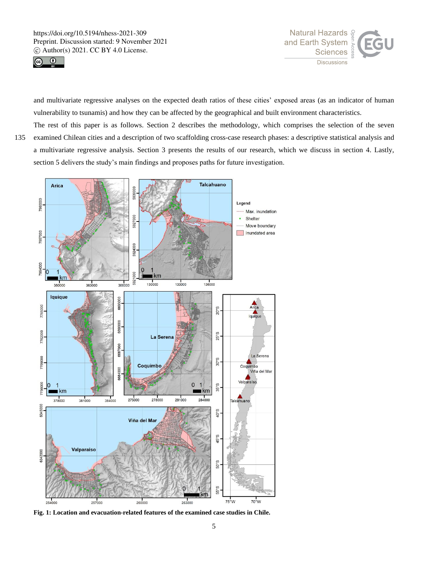



and multivariate regressive analyses on the expected death ratios of these cities' exposed areas (as an indicator of human vulnerability to tsunamis) and how they can be affected by the geographical and built environment characteristics.

The rest of this paper is as follows. Section 2 describes the methodology, which comprises the selection of the seven 135 examined Chilean cities and a description of two scaffolding cross-case research phases: a descriptive statistical analysis and a multivariate regressive analysis. Section 3 presents the results of our research, which we discuss in section 4. Lastly, section 5 delivers the study's main findings and proposes paths for future investigation.



**Fig. 1: Location and evacuation-related features of the examined case studies in Chile.**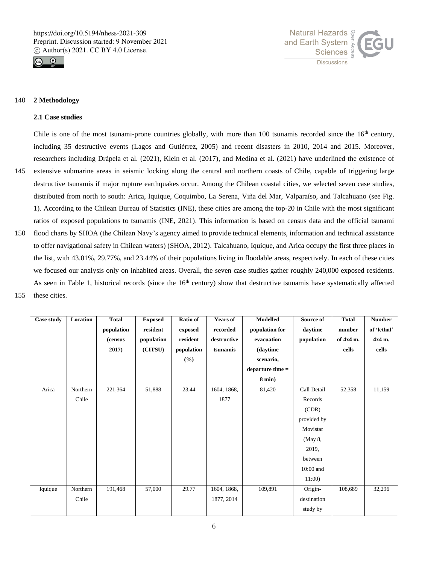



#### 140 **2 Methodology**

#### **2.1 Case studies**

Chile is one of the most tsunami-prone countries globally, with more than 100 tsunamis recorded since the  $16<sup>th</sup>$  century, including 35 destructive events (Lagos and Gutiérrez, 2005) and recent disasters in 2010, 2014 and 2015. Moreover, researchers including Drápela et al. (2021), Klein et al. (2017), and Medina et al. (2021) have underlined the existence of 145 extensive submarine areas in seismic locking along the central and northern coasts of Chile, capable of triggering large destructive tsunamis if major rupture earthquakes occur. Among the Chilean coastal cities, we selected seven case studies, distributed from north to south: Arica, Iquique, Coquimbo, La Serena, Viña del Mar, Valparaíso, and Talcahuano (see Fig. 1). According to the Chilean Bureau of Statistics (INE), these cities are among the top-20 in Chile with the most significant ratios of exposed populations to tsunamis (INE, 2021). This information is based on census data and the official tsunami

- 150 flood charts by SHOA (the Chilean Navy's agency aimed to provide technical elements, information and technical assistance to offer navigational safety in Chilean waters) (SHOA, 2012). Talcahuano, Iquique, and Arica occupy the first three places in the list, with 43.01%, 29.77%, and 23.44% of their populations living in floodable areas, respectively. In each of these cities we focused our analysis only on inhabited areas. Overall, the seven case studies gather roughly 240,000 exposed residents. As seen in Table 1, historical records (since the  $16<sup>th</sup>$  century) show that destructive tsunamis have systematically affected
- 155 these cities.

| <b>Case study</b> | Location | <b>Total</b> | <b>Exposed</b> | Ratio of   | <b>Years of</b> | <b>Modelled</b>   | Source of   | <b>Total</b> | <b>Number</b> |
|-------------------|----------|--------------|----------------|------------|-----------------|-------------------|-------------|--------------|---------------|
|                   |          | population   | resident       | exposed    | recorded        | population for    | daytime     | number       | of 'lethal'   |
|                   |          | (census      | population     | resident   | destructive     | evacuation        | population  | of 4x4 m.    | 4x4 m.        |
|                   |          | 2017)        | (CITSU)        | population | tsunamis        | (daytime          |             | cells        | cells         |
|                   |          |              |                | (%)        |                 | scenario,         |             |              |               |
|                   |          |              |                |            |                 | departure time =  |             |              |               |
|                   |          |              |                |            |                 | $8 \text{ min}$ ) |             |              |               |
| Arica             | Northern | 221,364      | 51,888         | 23.44      | 1604, 1868,     | 81,420            | Call Detail | 52,358       | 11,159        |
|                   | Chile    |              |                |            | 1877            |                   | Records     |              |               |
|                   |          |              |                |            |                 |                   | (CDR)       |              |               |
|                   |          |              |                |            |                 |                   | provided by |              |               |
|                   |          |              |                |            |                 |                   | Movistar    |              |               |
|                   |          |              |                |            |                 |                   | (May 8,     |              |               |
|                   |          |              |                |            |                 |                   | 2019,       |              |               |
|                   |          |              |                |            |                 |                   | between     |              |               |
|                   |          |              |                |            |                 |                   | 10:00 and   |              |               |
|                   |          |              |                |            |                 |                   | 11:00       |              |               |
| Iquique           | Northern | 191,468      | 57,000         | 29.77      | 1604, 1868,     | 109,891           | Origin-     | 108,689      | 32,296        |
|                   | Chile    |              |                |            | 1877, 2014      |                   | destination |              |               |
|                   |          |              |                |            |                 |                   | study by    |              |               |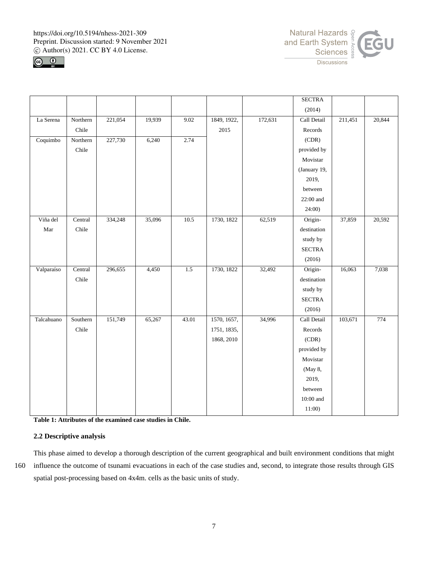



|            |          |         |        |       |             |         | <b>SECTRA</b> |         |        |
|------------|----------|---------|--------|-------|-------------|---------|---------------|---------|--------|
|            |          |         |        |       |             |         | (2014)        |         |        |
| La Serena  | Northern | 221,054 | 19,939 | 9.02  | 1849, 1922, | 172,631 | Call Detail   | 211,451 | 20,844 |
|            | Chile    |         |        |       | 2015        |         | Records       |         |        |
| Coquimbo   | Northern | 227,730 | 6,240  | 2.74  |             |         | (CDR)         |         |        |
|            | Chile    |         |        |       |             |         | provided by   |         |        |
|            |          |         |        |       |             |         | Movistar      |         |        |
|            |          |         |        |       |             |         | (January 19,  |         |        |
|            |          |         |        |       |             |         | 2019,         |         |        |
|            |          |         |        |       |             |         | between       |         |        |
|            |          |         |        |       |             |         | 22:00 and     |         |        |
|            |          |         |        |       |             |         | 24:00)        |         |        |
| Viña del   | Central  | 334,248 | 35,096 | 10.5  | 1730, 1822  | 62,519  | Origin-       | 37,859  | 20,592 |
| Mar        | Chile    |         |        |       |             |         | destination   |         |        |
|            |          |         |        |       |             |         | study by      |         |        |
|            |          |         |        |       |             |         | <b>SECTRA</b> |         |        |
|            |          |         |        |       |             |         | (2016)        |         |        |
| Valparaíso | Central  | 296,655 | 4,450  | 1.5   | 1730, 1822  | 32,492  | Origin-       | 16,063  | 7,038  |
|            | Chile    |         |        |       |             |         | destination   |         |        |
|            |          |         |        |       |             |         | study by      |         |        |
|            |          |         |        |       |             |         | <b>SECTRA</b> |         |        |
|            |          |         |        |       |             |         | (2016)        |         |        |
| Talcahuano | Southern | 151,749 | 65,267 | 43.01 | 1570, 1657, | 34,996  | Call Detail   | 103,671 | 774    |
|            | Chile    |         |        |       | 1751, 1835, |         | Records       |         |        |
|            |          |         |        |       | 1868, 2010  |         | (CDR)         |         |        |
|            |          |         |        |       |             |         | provided by   |         |        |
|            |          |         |        |       |             |         | Movistar      |         |        |
|            |          |         |        |       |             |         | (May 8,       |         |        |
|            |          |         |        |       |             |         | 2019,         |         |        |
|            |          |         |        |       |             |         | between       |         |        |
|            |          |         |        |       |             |         | $10:00$ and   |         |        |
|            |          |         |        |       |             |         | 11:00)        |         |        |

**Table 1: Attributes of the examined case studies in Chile.**

# **2.2 Descriptive analysis**

This phase aimed to develop a thorough description of the current geographical and built environment conditions that might 160 influence the outcome of tsunami evacuations in each of the case studies and, second, to integrate those results through GIS

spatial post-processing based on 4x4m. cells as the basic units of study.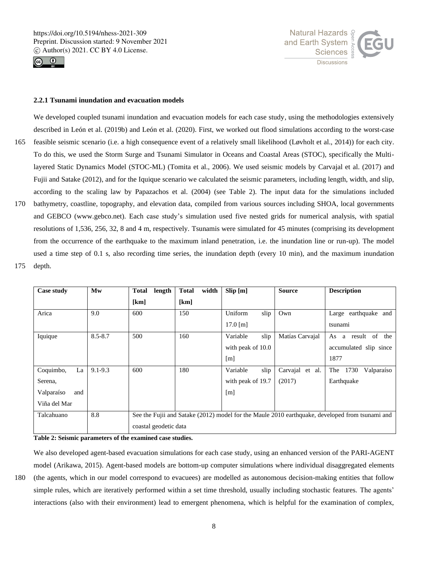



## **2.2.1 Tsunami inundation and evacuation models**

We developed coupled tsunami inundation and evacuation models for each case study, using the methodologies extensively described in León et al. (2019b) and León et al. (2020). First, we worked out flood simulations according to the worst-case 165 feasible seismic scenario (i.e. a high consequence event of a relatively small likelihood (Løvholt et al., 2014)) for each city. To do this, we used the Storm Surge and Tsunami Simulator in Oceans and Coastal Areas (STOC), specifically the Multilayered Static Dynamics Model (STOC-ML) (Tomita et al., 2006). We used seismic models by Carvajal et al. (2017) and Fujii and Satake (2012), and for the Iquique scenario we calculated the seismic parameters, including length, width, and slip, according to the scaling law by Papazachos et al. (2004) (see Table 2). The input data for the simulations included 170 bathymetry, coastline, topography, and elevation data, compiled from various sources including SHOA, local governments and GEBCO (www.gebco.net). Each case study's simulation used five nested grids for numerical analysis, with spatial resolutions of 1,536, 256, 32, 8 and 4 m, respectively. Tsunamis were simulated for 45 minutes (comprising its development from the occurrence of the earthquake to the maximum inland penetration, i.e. the inundation line or run-up). The model used a time step of 0.1 s, also recording time series, the inundation depth (every 10 min), and the maximum inundation

175 depth.

| Case study        | Mw          | <b>Total</b><br>length                                                                          | <b>Total</b><br>width | Slip[m]           | <b>Source</b>   | <b>Description</b>        |  |  |  |
|-------------------|-------------|-------------------------------------------------------------------------------------------------|-----------------------|-------------------|-----------------|---------------------------|--|--|--|
|                   |             | [km]                                                                                            | [km]                  |                   |                 |                           |  |  |  |
| Arica             | 9.0         | 600                                                                                             | 150                   | slip<br>Uniform   | Own             | Large earthquake and      |  |  |  |
|                   |             |                                                                                                 |                       | $17.0$ [m]        |                 | tsunami                   |  |  |  |
| Iquique           | $8.5 - 8.7$ | 500                                                                                             | 160                   | slip<br>Variable  | Matías Carvajal | a result of the<br>As     |  |  |  |
|                   |             |                                                                                                 |                       | with peak of 10.0 |                 | accumulated slip since    |  |  |  |
|                   |             |                                                                                                 |                       | [m]               |                 | 1877                      |  |  |  |
| Coquimbo,<br>La   | $9.1 - 9.3$ | 600                                                                                             | 180                   | slip<br>Variable  | Carvajal et al. | 1730<br>The<br>Valparaíso |  |  |  |
| Serena,           |             |                                                                                                 |                       | with peak of 19.7 | (2017)          | Earthquake                |  |  |  |
| Valparaíso<br>and |             |                                                                                                 |                       | $\lceil m \rceil$ |                 |                           |  |  |  |
| Viña del Mar      |             |                                                                                                 |                       |                   |                 |                           |  |  |  |
| Talcahuano        | 8.8         | See the Fujii and Satake (2012) model for the Maule 2010 earthquake, developed from tsunami and |                       |                   |                 |                           |  |  |  |
|                   |             | coastal geodetic data                                                                           |                       |                   |                 |                           |  |  |  |

**Table 2: Seismic parameters of the examined case studies.**

We also developed agent-based evacuation simulations for each case study, using an enhanced version of the PARI-AGENT model (Arikawa, 2015). Agent-based models are bottom-up computer simulations where individual disaggregated elements 180 (the agents, which in our model correspond to evacuees) are modelled as autonomous decision-making entities that follow simple rules, which are iteratively performed within a set time threshold, usually including stochastic features. The agents' interactions (also with their environment) lead to emergent phenomena, which is helpful for the examination of complex,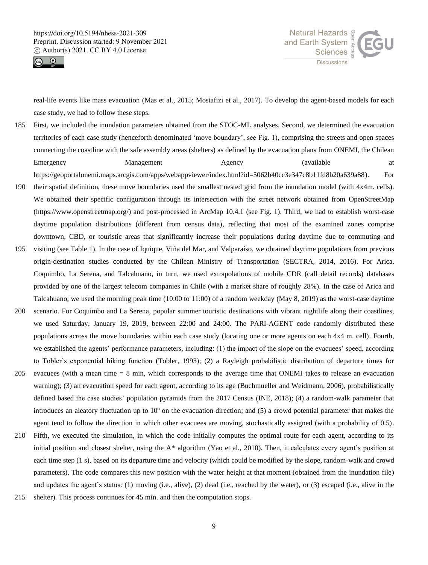



real-life events like mass evacuation (Mas et al., 2015; Mostafizi et al., 2017). To develop the agent-based models for each case study, we had to follow these steps.

185 First, we included the inundation parameters obtained from the STOC-ML analyses. Second, we determined the evacuation territories of each case study (henceforth denominated 'move boundary', see Fig. 1), comprising the streets and open spaces connecting the coastline with the safe assembly areas (shelters) as defined by the evacuation plans from ONEMI, the Chilean Emergency **Management** Agency (available at at

https://geoportalonemi.maps.arcgis.com/apps/webappviewer/index.html?id=5062b40cc3e347c8b11fd8b20a639a88). For

- 190 their spatial definition, these move boundaries used the smallest nested grid from the inundation model (with 4x4m. cells). We obtained their specific configuration through its intersection with the street network obtained from OpenStreetMap (https://www.openstreetmap.org/) and post-processed in ArcMap 10.4.1 (see Fig. 1). Third, we had to establish worst-case daytime population distributions (different from census data), reflecting that most of the examined zones comprise downtown, CBD, or touristic areas that significantly increase their populations during daytime due to commuting and
- 195 visiting (see Table 1). In the case of Iquique, Viña del Mar, and Valparaíso, we obtained daytime populations from previous origin-destination studies conducted by the Chilean Ministry of Transportation (SECTRA, 2014, 2016). For Arica, Coquimbo, La Serena, and Talcahuano, in turn, we used extrapolations of mobile CDR (call detail records) databases provided by one of the largest telecom companies in Chile (with a market share of roughly 28%). In the case of Arica and Talcahuano, we used the morning peak time (10:00 to 11:00) of a random weekday (May 8, 2019) as the worst-case daytime
- 200 scenario. For Coquimbo and La Serena, popular summer touristic destinations with vibrant nightlife along their coastlines, we used Saturday, January 19, 2019, between 22:00 and 24:00. The PARI-AGENT code randomly distributed these populations across the move boundaries within each case study (locating one or more agents on each 4x4 m. cell). Fourth, we established the agents' performance parameters, including: (1) the impact of the slope on the evacuees' speed, according to Tobler's exponential hiking function (Tobler, 1993); (2) a Rayleigh probabilistic distribution of departure times for
- 205 evacuees (with a mean time = 8 min, which corresponds to the average time that ONEMI takes to release an evacuation warning); (3) an evacuation speed for each agent, according to its age (Buchmueller and Weidmann, 2006), probabilistically defined based the case studies' population pyramids from the 2017 Census (INE, 2018); (4) a random-walk parameter that introduces an aleatory fluctuation up to  $10^{\circ}$  on the evacuation direction; and (5) a crowd potential parameter that makes the agent tend to follow the direction in which other evacuees are moving, stochastically assigned (with a probability of 0.5).
- 210 Fifth, we executed the simulation, in which the code initially computes the optimal route for each agent, according to its initial position and closest shelter, using the A\* algorithm (Yao et al., 2010). Then, it calculates every agent's position at each time step (1 s), based on its departure time and velocity (which could be modified by the slope, random-walk and crowd parameters). The code compares this new position with the water height at that moment (obtained from the inundation file) and updates the agent's status: (1) moving (i.e., alive), (2) dead (i.e., reached by the water), or (3) escaped (i.e., alive in the
- 215 shelter). This process continues for 45 min. and then the computation stops.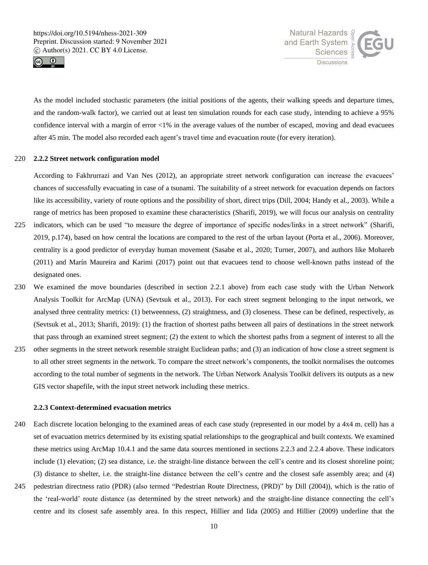



As the model included stochastic parameters (the initial positions of the agents, their walking speeds and departure times, and the random-walk factor), we carried out at least ten simulation rounds for each case study, intending to achieve a 95% confidence interval with a margin of error <1% in the average values of the number of escaped, moving and dead evacuees after 45 min. The model also recorded each agent's travel time and evacuation route (for every iteration).

# 220 **2.2.2 Street network configuration model**

According to Fakhrurrazi and Van Nes (2012), an appropriate street network configuration can increase the evacuees' chances of successfully evacuating in case of a tsunami. The suitability of a street network for evacuation depends on factors like its accessibility, variety of route options and the possibility of short, direct trips (Dill, 2004; Handy et al., 2003). While a range of metrics has been proposed to examine these characteristics (Sharifi, 2019), we will focus our analysis on centrality

- 225 indicators, which can be used "to measure the degree of importance of specific nodes/links in a street network" (Sharifi, 2019, p.174), based on how central the locations are compared to the rest of the urban layout (Porta et al., 2006). Moreover, centrality is a good predictor of everyday human movement (Sasabe et al., 2020; Turner, 2007), and authors like Mohareb (2011) and Marín Maureira and Karimi (2017) point out that evacuees tend to choose well-known paths instead of the designated ones.
- 230 We examined the move boundaries (described in section 2.2.1 above) from each case study with the Urban Network Analysis Toolkit for ArcMap (UNA) (Sevtsuk et al., 2013). For each street segment belonging to the input network, we analysed three centrality metrics: (1) betweenness, (2) straightness, and (3) closeness. These can be defined, respectively, as (Sevtsuk et al., 2013; Sharifi, 2019): (1) the fraction of shortest paths between all pairs of destinations in the street network that pass through an examined street segment; (2) the extent to which the shortest paths from a segment of interest to all the
- 235 other segments in the street network resemble straight Euclidean paths; and (3) an indication of how close a street segment is to all other street segments in the network. To compare the street network's components, the toolkit normalises the outcomes according to the total number of segments in the network. The Urban Network Analysis Toolkit delivers its outputs as a new GIS vector shapefile, with the input street network including these metrics.

#### **2.2.3 Context-determined evacuation metrics**

- 240 Each discrete location belonging to the examined areas of each case study (represented in our model by a 4x4 m. cell) has a set of evacuation metrics determined by its existing spatial relationships to the geographical and built contexts. We examined these metrics using ArcMap 10.4.1 and the same data sources mentioned in sections 2.2.3 and 2.2.4 above. These indicators include (1) elevation; (2) sea distance, i.e. the straight-line distance between the cell's centre and its closest shoreline point; (3) distance to shelter, i.e. the straight-line distance between the cell's centre and the closest safe assembly area; and (4)
- 245 pedestrian directness ratio (PDR) (also termed "Pedestrian Route Directness, (PRD)" by Dill (2004)), which is the ratio of the 'real-world' route distance (as determined by the street network) and the straight-line distance connecting the cell's centre and its closest safe assembly area. In this respect, Hillier and Iida (2005) and Hillier (2009) underline that the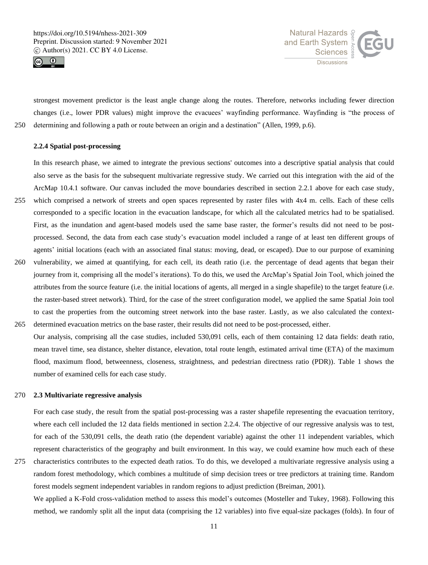



strongest movement predictor is the least angle change along the routes. Therefore, networks including fewer direction changes (i.e., lower PDR values) might improve the evacuees' wayfinding performance. Wayfinding is "the process of 250 determining and following a path or route between an origin and a destination" (Allen, 1999, p.6).

#### **2.2.4 Spatial post-processing**

In this research phase, we aimed to integrate the previous sections' outcomes into a descriptive spatial analysis that could also serve as the basis for the subsequent multivariate regressive study. We carried out this integration with the aid of the ArcMap 10.4.1 software. Our canvas included the move boundaries described in section 2.2.1 above for each case study, 255 which comprised a network of streets and open spaces represented by raster files with 4x4 m. cells. Each of these cells corresponded to a specific location in the evacuation landscape, for which all the calculated metrics had to be spatialised. First, as the inundation and agent-based models used the same base raster, the former's results did not need to be postprocessed. Second, the data from each case study's evacuation model included a range of at least ten different groups of agents' initial locations (each with an associated final status: moving, dead, or escaped). Due to our purpose of examining

- 260 vulnerability, we aimed at quantifying, for each cell, its death ratio (i.e. the percentage of dead agents that began their journey from it, comprising all the model's iterations). To do this, we used the ArcMap's Spatial Join Tool, which joined the attributes from the source feature (i.e. the initial locations of agents, all merged in a single shapefile) to the target feature (i.e. the raster-based street network). Third, for the case of the street configuration model, we applied the same Spatial Join tool to cast the properties from the outcoming street network into the base raster. Lastly, as we also calculated the context-265 determined evacuation metrics on the base raster, their results did not need to be post-processed, either.
- Our analysis, comprising all the case studies, included 530,091 cells, each of them containing 12 data fields: death ratio, mean travel time, sea distance, shelter distance, elevation, total route length, estimated arrival time (ETA) of the maximum flood, maximum flood, betweenness, closeness, straightness, and pedestrian directness ratio (PDR)). Table 1 shows the number of examined cells for each case study.

#### 270 **2.3 Multivariate regressive analysis**

For each case study, the result from the spatial post-processing was a raster shapefile representing the evacuation territory, where each cell included the 12 data fields mentioned in section 2.2.4. The objective of our regressive analysis was to test, for each of the 530,091 cells, the death ratio (the dependent variable) against the other 11 independent variables, which represent characteristics of the geography and built environment. In this way, we could examine how much each of these

275 characteristics contributes to the expected death ratios. To do this, we developed a multivariate regressive analysis using a random forest methodology, which combines a multitude of simp decision trees or tree predictors at training time. Random forest models segment independent variables in random regions to adjust prediction (Breiman, 2001).

We applied a K-Fold cross-validation method to assess this model's outcomes (Mosteller and Tukey, 1968). Following this method, we randomly split all the input data (comprising the 12 variables) into five equal-size packages (folds). In four of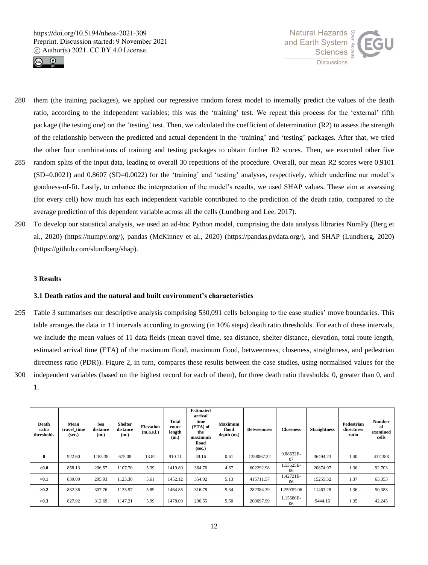



- 280 them (the training packages), we applied our regressive random forest model to internally predict the values of the death ratio, according to the independent variables; this was the 'training' test. We repeat this process for the 'external' fifth package (the testing one) on the 'testing' test. Then, we calculated the coefficient of determination (R2) to assess the strength of the relationship between the predicted and actual dependent in the 'training' and 'testing' packages. After that, we tried the other four combinations of training and testing packages to obtain further R2 scores. Then, we executed other five
- 285 random splits of the input data, leading to overall 30 repetitions of the procedure. Overall, our mean R2 scores were 0.9101 (SD=0.0021) and 0.8607 (SD=0.0022) for the 'training' and 'testing' analyses, respectively, which underline our model's goodness-of-fit. Lastly, to enhance the interpretation of the model's results, we used SHAP values. These aim at assessing (for every cell) how much has each independent variable contributed to the prediction of the death ratio, compared to the average prediction of this dependent variable across all the cells (Lundberg and Lee, 2017).
- 290 To develop our statistical analysis, we used an ad-hoc Python model, comprising the data analysis libraries NumPy (Berg et al., 2020) (https://numpy.org/), pandas (McKinney et al., 2020) (https://pandas.pydata.org/), and SHAP (Lundberg, 2020) (https://github.com/slundberg/shap).

#### **3 Results**

# **3.1 Death ratios and the natural and built environment's characteristics**

- 295 Table 3 summarises our descriptive analysis comprising 530,091 cells belonging to the case studies' move boundaries. This table arranges the data in 11 intervals according to growing (in 10% steps) death ratio thresholds. For each of these intervals, we include the mean values of 11 data fields (mean travel time, sea distance, shelter distance, elevation, total route length, estimated arrival time (ETA) of the maximum flood, maximum flood, betweenness, closeness, straightness, and pedestrian directness ratio (PDR)). Figure 2, in turn, compares these results between the case studies, using normalised values for the 300 independent variables (based on the highest record for each of them), for three death ratio thresholds: 0, greater than 0, and
	- 1.

| Death<br>ratio<br>thresholds | Mean<br>travel time<br>(sec.) | Sea<br>distance<br>(m.) | <b>Shelter</b><br>distance<br>(m.) | <b>Elevation</b><br>(m.a.s.l.) | Total<br>route<br>length<br>(m.) | <b>Estimated</b><br>arrival<br>time<br>(ETA) of<br>the<br>maximum<br>flood<br>(sec.) | <b>Maximum</b><br>flood<br>depth (m.) | <b>Betweenness</b> | <b>Closeness</b> | <b>Straightness</b> | Pedestrian<br>directness<br>ratio | <b>Number</b><br>of<br>examined<br>cells |
|------------------------------|-------------------------------|-------------------------|------------------------------------|--------------------------------|----------------------------------|--------------------------------------------------------------------------------------|---------------------------------------|--------------------|------------------|---------------------|-----------------------------------|------------------------------------------|
| $\bf{0}$                     | 922.60                        | 1185.38                 | 675.08                             | 13.82                          | 910.11                           | 49.16                                                                                | 0.61                                  | 1358067.32         | 9.88632E-<br>07  | 36494.23            | 1.40                              | 437,388                                  |
| >0.0                         | 858.13                        | 296.57                  | 1107.70                            | 5.39                           | 1419.89                          | 364.76                                                                               | 4.67                                  | 602292.98          | 1.53525E-<br>06  | 20874.97            | 1.36                              | 92,703                                   |
| >0.1                         | 839.00                        | 295.93                  | 1123.30                            | 5.61                           | 1452.12                          | 354.02                                                                               | 5.13                                  | 415711.57          | .42721E-<br>06   | 15255.32            | 1.37                              | 65,353                                   |
| >0.2                         | 832.36                        | 307.76                  | 1133.97                            | 5.89                           | 1464.85                          | 316.78                                                                               | 5.34                                  | 282384.39          | 1.2593E-06       | 11463.28            | 1.36                              | 50,383                                   |
| >0.3                         | 827.92                        | 312.69                  | 1147.21                            | 5.99                           | 1478.09                          | 296.55                                                                               | 5.50                                  | 200697.99          | 1.15586E-<br>06  | 9444.16             | 1.35                              | 42,245                                   |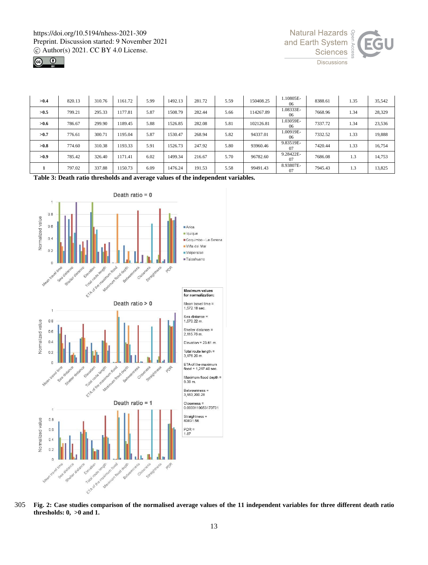



| >0.4 | 820.13 | 310.76 | 1161.72 | 5.99 | 1492.13 | 281.72 | 5.59 | 150408.25 | .10805E-<br>06  | 8388.61 | 1.35 | 35,542 |
|------|--------|--------|---------|------|---------|--------|------|-----------|-----------------|---------|------|--------|
| >0.5 | 799.21 | 295.33 | 1177.81 | 5.87 | 1508.79 | 282.44 | 5.66 | 114267.89 | 1.08333E-<br>06 | 7668.96 | 1.34 | 28,329 |
| >0.6 | 786.67 | 299.90 | 1189.45 | 5.88 | 1526.85 | 282.08 | 5.81 | 102126.81 | 1.03059E-<br>06 | 7337.72 | 1.34 | 23,536 |
| >0.7 | 776.61 | 300.71 | 1195.04 | 5.87 | 1530.47 | 268.94 | 5.82 | 94337.01  | 1.00919E-<br>06 | 7332.52 | 1.33 | 19,888 |
| >0.8 | 774.60 | 310.38 | 1193.33 | 5.91 | 1526.73 | 247.92 | 5.80 | 93960.46  | 9.83519E-<br>07 | 7420.44 | 1.33 | 16,754 |
| >0.9 | 785.42 | 326.40 | 1171.41 | 6.02 | 1499.34 | 216.67 | 5.70 | 96782.60  | 9.28422E-<br>07 | 7686.08 | 1.3  | 14,753 |
|      | 797.02 | 337.88 | 1150.73 | 6.09 | 1476.24 | 191.53 | 5.58 | 99491.43  | 8.93807E-<br>07 | 7945.43 | 1.3  | 13,825 |

**Table 3: Death ratio thresholds and average values of the independent variables.**



305 **Fig. 2: Case studies comparison of the normalised average values of the 11 independent variables for three different death ratio thresholds: 0, >0 and 1.**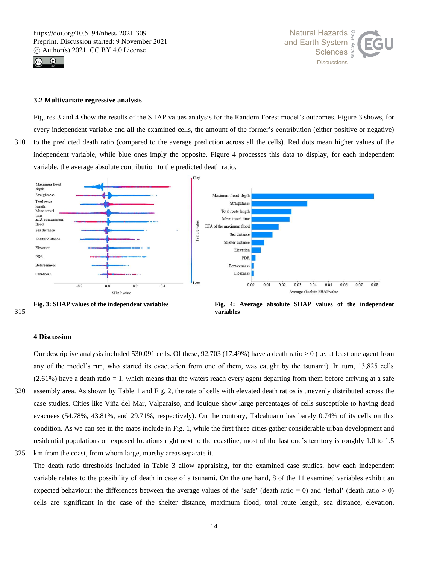



#### **3.2 Multivariate regressive analysis**

Figures 3 and 4 show the results of the SHAP values analysis for the Random Forest model's outcomes. Figure 3 shows, for every independent variable and all the examined cells, the amount of the former's contribution (either positive or negative) 310 to the predicted death ratio (compared to the average prediction across all the cells). Red dots mean higher values of the independent variable, while blue ones imply the opposite. Figure 4 processes this data to display, for each independent variable, the average absolute contribution to the predicted death ratio.



315 **variables**

**Fig. 3: SHAP values of the independent variables** Fig. 4: Average absolute SHAP values of the independent

#### **4 Discussion**

Our descriptive analysis included 530,091 cells. Of these,  $92,703$  (17.49%) have a death ratio  $> 0$  (i.e. at least one agent from any of the model's run, who started its evacuation from one of them, was caught by the tsunami). In turn, 13,825 cells  $(2.61\%)$  have a death ratio  $= 1$ , which means that the waters reach every agent departing from them before arriving at a safe 320 assembly area. As shown by Table 1 and Fig. 2, the rate of cells with elevated death ratios is unevenly distributed across the case studies. Cities like Viña del Mar, Valparaíso, and Iquique show large percentages of cells susceptible to having dead evacuees (54.78%, 43.81%, and 29.71%, respectively). On the contrary, Talcahuano has barely 0.74% of its cells on this condition. As we can see in the maps include in Fig. 1, while the first three cities gather considerable urban development and residential populations on exposed locations right next to the coastline, most of the last one's territory is roughly 1.0 to 1.5 325 km from the coast, from whom large, marshy areas separate it.

The death ratio thresholds included in Table 3 allow appraising, for the examined case studies, how each independent variable relates to the possibility of death in case of a tsunami. On the one hand, 8 of the 11 examined variables exhibit an expected behaviour: the differences between the average values of the 'safe' (death ratio = 0) and 'lethal' (death ratio > 0) cells are significant in the case of the shelter distance, maximum flood, total route length, sea distance, elevation,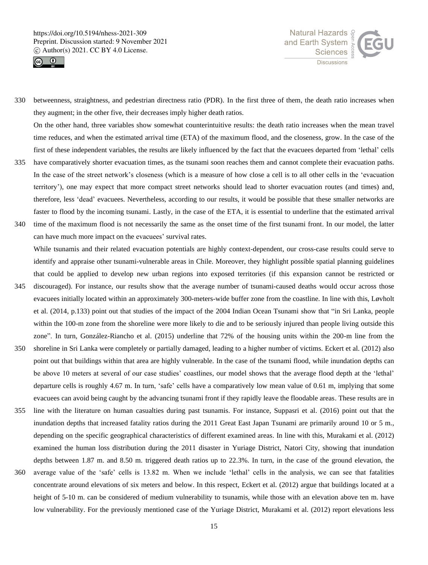



330 betweenness, straightness, and pedestrian directness ratio (PDR). In the first three of them, the death ratio increases when they augment; in the other five, their decreases imply higher death ratios.

On the other hand, three variables show somewhat counterintuitive results: the death ratio increases when the mean travel time reduces, and when the estimated arrival time (ETA) of the maximum flood, and the closeness, grow. In the case of the first of these independent variables, the results are likely influenced by the fact that the evacuees departed from 'lethal' cells

- 335 have comparatively shorter evacuation times, as the tsunami soon reaches them and cannot complete their evacuation paths. In the case of the street network's closeness (which is a measure of how close a cell is to all other cells in the 'evacuation territory'), one may expect that more compact street networks should lead to shorter evacuation routes (and times) and, therefore, less 'dead' evacuees. Nevertheless, according to our results, it would be possible that these smaller networks are faster to flood by the incoming tsunami. Lastly, in the case of the ETA, it is essential to underline that the estimated arrival
- 340 time of the maximum flood is not necessarily the same as the onset time of the first tsunami front. In our model, the latter can have much more impact on the evacuees' survival rates.

While tsunamis and their related evacuation potentials are highly context-dependent, our cross-case results could serve to identify and appraise other tsunami-vulnerable areas in Chile. Moreover, they highlight possible spatial planning guidelines that could be applied to develop new urban regions into exposed territories (if this expansion cannot be restricted or

- 345 discouraged). For instance, our results show that the average number of tsunami-caused deaths would occur across those evacuees initially located within an approximately 300-meters-wide buffer zone from the coastline. In line with this, Løvholt et al. (2014, p.133) point out that studies of the impact of the 2004 Indian Ocean Tsunami show that "in Sri Lanka, people within the 100-m zone from the shoreline were more likely to die and to be seriously injured than people living outside this zone". In turn, González-Riancho et al. (2015) underline that 72% of the housing units within the 200-m line from the
- 350 shoreline in Sri Lanka were completely or partially damaged, leading to a higher number of victims. Eckert et al. (2012) also point out that buildings within that area are highly vulnerable. In the case of the tsunami flood, while inundation depths can be above 10 meters at several of our case studies' coastlines, our model shows that the average flood depth at the 'lethal' departure cells is roughly 4.67 m. In turn, 'safe' cells have a comparatively low mean value of 0.61 m, implying that some evacuees can avoid being caught by the advancing tsunami front if they rapidly leave the floodable areas. These results are in
- 355 line with the literature on human casualties during past tsunamis. For instance, Suppasri et al. (2016) point out that the inundation depths that increased fatality ratios during the 2011 Great East Japan Tsunami are primarily around 10 or 5 m., depending on the specific geographical characteristics of different examined areas. In line with this, Murakami et al. (2012) examined the human loss distribution during the 2011 disaster in Yuriage District, Natori City, showing that inundation depths between 1.87 m. and 8.50 m. triggered death ratios up to 22.3%. In turn, in the case of the ground elevation, the
- 360 average value of the 'safe' cells is 13.82 m. When we include 'lethal' cells in the analysis, we can see that fatalities concentrate around elevations of six meters and below. In this respect, Eckert et al. (2012) argue that buildings located at a height of 5-10 m. can be considered of medium vulnerability to tsunamis, while those with an elevation above ten m. have low vulnerability. For the previously mentioned case of the Yuriage District, Murakami et al. (2012) report elevations less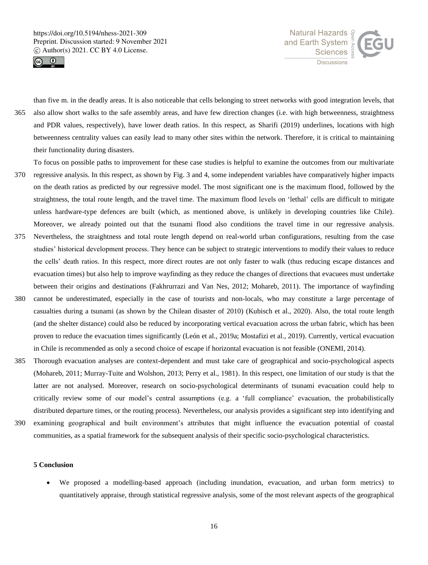



than five m. in the deadly areas. It is also noticeable that cells belonging to street networks with good integration levels, that 365 also allow short walks to the safe assembly areas, and have few direction changes (i.e. with high betweenness, straightness and PDR values, respectively), have lower death ratios. In this respect, as Sharifi (2019) underlines, locations with high betweenness centrality values can easily lead to many other sites within the network. Therefore, it is critical to maintaining their functionality during disasters.

- To focus on possible paths to improvement for these case studies is helpful to examine the outcomes from our multivariate 370 regressive analysis. In this respect, as shown by Fig. 3 and 4, some independent variables have comparatively higher impacts on the death ratios as predicted by our regressive model. The most significant one is the maximum flood, followed by the straightness, the total route length, and the travel time. The maximum flood levels on 'lethal' cells are difficult to mitigate unless hardware-type defences are built (which, as mentioned above, is unlikely in developing countries like Chile). Moreover, we already pointed out that the tsunami flood also conditions the travel time in our regressive analysis.
- 375 Nevertheless, the straightness and total route length depend on real-world urban configurations, resulting from the case studies' historical development process. They hence can be subject to strategic interventions to modify their values to reduce the cells' death ratios. In this respect, more direct routes are not only faster to walk (thus reducing escape distances and evacuation times) but also help to improve wayfinding as they reduce the changes of directions that evacuees must undertake between their origins and destinations (Fakhrurrazi and Van Nes, 2012; Mohareb, 2011). The importance of wayfinding
- 380 cannot be underestimated, especially in the case of tourists and non-locals, who may constitute a large percentage of casualties during a tsunami (as shown by the Chilean disaster of 2010) (Kubisch et al., 2020). Also, the total route length (and the shelter distance) could also be reduced by incorporating vertical evacuation across the urban fabric, which has been proven to reduce the evacuation times significantly (León et al., 2019a; Mostafizi et al., 2019). Currently, vertical evacuation in Chile is recommended as only a second choice of escape if horizontal evacuation is not feasible (ONEMI, 2014).
- 385 Thorough evacuation analyses are context-dependent and must take care of geographical and socio-psychological aspects (Mohareb, 2011; Murray-Tuite and Wolshon, 2013; Perry et al., 1981). In this respect, one limitation of our study is that the latter are not analysed. Moreover, research on socio-psychological determinants of tsunami evacuation could help to critically review some of our model's central assumptions (e.g. a 'full compliance' evacuation, the probabilistically distributed departure times, or the routing process). Nevertheless, our analysis provides a significant step into identifying and 390 examining geographical and built environment's attributes that might influence the evacuation potential of coastal

communities, as a spatial framework for the subsequent analysis of their specific socio-psychological characteristics.

#### **5 Conclusion**

• We proposed a modelling-based approach (including inundation, evacuation, and urban form metrics) to quantitatively appraise, through statistical regressive analysis, some of the most relevant aspects of the geographical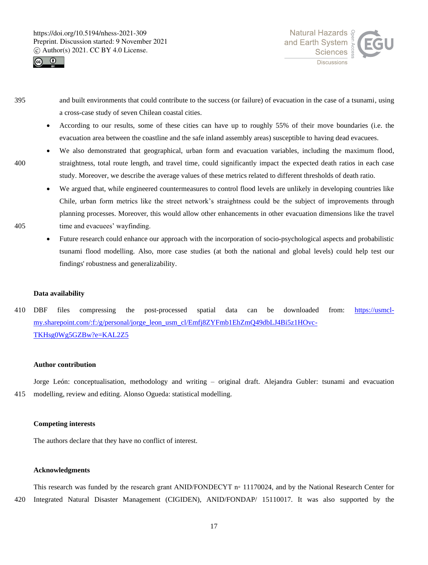



395 and built environments that could contribute to the success (or failure) of evacuation in the case of a tsunami, using a cross-case study of seven Chilean coastal cities.

- According to our results, some of these cities can have up to roughly 55% of their move boundaries (i.e. the evacuation area between the coastline and the safe inland assembly areas) susceptible to having dead evacuees.
- We also demonstrated that geographical, urban form and evacuation variables, including the maximum flood, 400 straightness, total route length, and travel time, could significantly impact the expected death ratios in each case study. Moreover, we describe the average values of these metrics related to different thresholds of death ratio.
- We argued that, while engineered countermeasures to control flood levels are unlikely in developing countries like Chile, urban form metrics like the street network's straightness could be the subject of improvements through planning processes. Moreover, this would allow other enhancements in other evacuation dimensions like the travel 405 time and evacuees' wayfinding.
	- Future research could enhance our approach with the incorporation of socio-psychological aspects and probabilistic tsunami flood modelling. Also, more case studies (at both the national and global levels) could help test our findings' robustness and generalizability.

#### **Data availability**

410 DBF files compressing the post-processed spatial data can be downloaded from: https://usmclmy.sharepoint.com/:f:/g/personal/jorge\_leon\_usm\_cl/Emfj8ZYFmb1EhZmQ49dbLJ4Bi5z1HOvc-TKHsg0Wg5GZBw?e=KAL2Z5

#### **Author contribution**

Jorge León: conceptualisation, methodology and writing – original draft. Alejandra Gubler: tsunami and evacuation 415 modelling, review and editing. Alonso Ogueda: statistical modelling.

#### **Competing interests**

The authors declare that they have no conflict of interest.

#### **Acknowledgments**

This research was funded by the research grant ANID/FONDECYT n◦ 11170024, and by the National Research Center for 420 Integrated Natural Disaster Management (CIGIDEN), ANID/FONDAP/ 15110017. It was also supported by the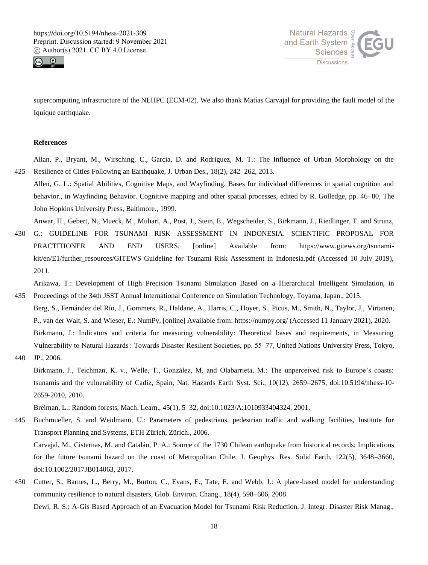



supercomputing infrastructure of the NLHPC (ECM-02). We also thank Matías Carvajal for providing the fault model of the Iquique earthquake.

## **References**

Allan, P., Bryant, M., Wirsching, C., Garcia, D. and Rodriguez, M. T.: The Influence of Urban Morphology on the 425 Resilience of Cities Following an Earthquake, J. Urban Des., 18(2), 242–262, 2013.

Allen, G. L.: Spatial Abilities, Cognitive Maps, and Wayfinding. Bases for individual differences in spatial cognition and behavior., in Wayfinding Behavior. Cognitive mapping and other spatial processes, edited by R. Golledge, pp. 46–80, The John Hopkins University Press, Baltimore., 1999.

Anwar, H., Gebert, N., Mueck, M., Muhari, A., Post, J., Stein, E., Wegscheider, S., Birkmann, J., Riedlinger, T. and Strunz, 430 G.: GUIDELINE FOR TSUNAMI RISK ASSESSMENT IN INDONESIA. SCIENTIFIC PROPOSAL FOR PRACTITIONER AND END USERS. [online] Available from: https://www.gitews.org/tsunamikit/en/E1/further\_resources/GITEWS Guideline for Tsunami Risk Assessment in Indonesia.pdf (Accessed 10 July 2019), 2011.

Arikawa, T.: Development of High Precision Tsunami Simulation Based on a Hierarchical Intelligent Simulation, in 435 Proceedings of the 34th JSST Annual International Conference on Simulation Technology, Toyama, Japan., 2015.

- Berg, S., Fernández del Río, J., Gommers, R., Haldane, A., Harris, C., Hoyer, S., Picus, M., Smith, N., Taylor, J., Virtanen, P., van der Walt, S. and Wieser, E.: NumPy, [online] Available from: https://numpy.org/ (Accessed 11 January 2021), 2020. Birkmann, J.: Indicators and criteria for measuring vulnerability: Theoretical bases and requirements, in Measuring Vulnerability to Natural Hazards : Towards Disaster Resilient Societies, pp. 55–77, United Nations University Press, Tokyo,
- 440 JP., 2006.

doi:10.1002/2017JB014063, 2017.

Birkmann, J., Teichman, K. v., Welle, T., González, M. and Olabarrieta, M.: The unperceived risk to Europe's coasts: tsunamis and the vulnerability of Cadiz, Spain, Nat. Hazards Earth Syst. Sci., 10(12), 2659–2675, doi:10.5194/nhess-10- 2659-2010, 2010.

Breiman, L.: Random forests, Mach. Learn., 45(1), 5–32, doi:10.1023/A:1010933404324, 2001.

445 Buchmueller, S. and Weidmann, U.: Parameters of pedestrians, pedestrian traffic and walking facilities, Institute for Transport Planning and Systems, ETH Zürich, Zürich., 2006. Carvajal, M., Cisternas, M. and Catalán, P. A.: Source of the 1730 Chilean earthquake from historical records: Implications for the future tsunami hazard on the coast of Metropolitan Chile, J. Geophys. Res. Solid Earth, 122(5), 3648–3660,

450 Cutter, S., Barnes, L., Berry, M., Burton, C., Evans, E., Tate, E. and Webb, J.: A place-based model for understanding community resilience to natural disasters, Glob. Environ. Chang., 18(4), 598–606, 2008.

Dewi, R. S.: A-Gis Based Approach of an Evacuation Model for Tsunami Risk Reduction, J. Integr. Disaster Risk Manag.,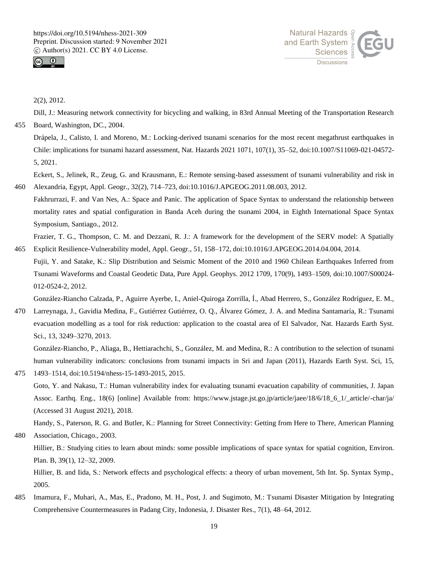



2(2), 2012.

Dill, J.: Measuring network connectivity for bicycling and walking, in 83rd Annual Meeting of the Transportation Research 455 Board, Washington, DC., 2004.

Drápela, J., Calisto, I. and Moreno, M.: Locking-derived tsunami scenarios for the most recent megathrust earthquakes in Chile: implications for tsunami hazard assessment, Nat. Hazards 2021 1071, 107(1), 35–52, doi:10.1007/S11069-021-04572- 5, 2021.

Eckert, S., Jelinek, R., Zeug, G. and Krausmann, E.: Remote sensing-based assessment of tsunami vulnerability and risk in 460 Alexandria, Egypt, Appl. Geogr., 32(2), 714–723, doi:10.1016/J.APGEOG.2011.08.003, 2012.

Fakhrurrazi, F. and Van Nes, A.: Space and Panic. The application of Space Syntax to understand the relationship between mortality rates and spatial configuration in Banda Aceh during the tsunami 2004, in Eighth International Space Syntax Symposium, Santiago., 2012.

Frazier, T. G., Thompson, C. M. and Dezzani, R. J.: A framework for the development of the SERV model: A Spatially 465 Explicit Resilience-Vulnerability model, Appl. Geogr., 51, 158–172, doi:10.1016/J.APGEOG.2014.04.004, 2014.

Fujii, Y. and Satake, K.: Slip Distribution and Seismic Moment of the 2010 and 1960 Chilean Earthquakes Inferred from Tsunami Waveforms and Coastal Geodetic Data, Pure Appl. Geophys. 2012 1709, 170(9), 1493–1509, doi:10.1007/S00024- 012-0524-2, 2012.

González-Riancho Calzada, P., Aguirre Ayerbe, I., Aniel-Quiroga Zorrilla, Í., Abad Herrero, S., González Rodríguez, E. M.,

470 Larreynaga, J., Gavidia Medina, F., Gutiérrez Gutiérrez, O. Q., Álvarez Gómez, J. A. and Medina Santamaría, R.: Tsunami evacuation modelling as a tool for risk reduction: application to the coastal area of El Salvador, Nat. Hazards Earth Syst. Sci., 13, 3249–3270, 2013.

González-Riancho, P., Aliaga, B., Hettiarachchi, S., González, M. and Medina, R.: A contribution to the selection of tsunami human vulnerability indicators: conclusions from tsunami impacts in Sri and Japan (2011), Hazards Earth Syst. Sci, 15,

475 1493–1514, doi:10.5194/nhess-15-1493-2015, 2015. Goto, Y. and Nakasu, T.: Human vulnerability index for evaluating tsunami evacuation capability of communities, J. Japan Assoc. Earthq. Eng., 18(6) [online] Available from: https://www.jstage.jst.go.jp/article/jaee/18/6/18\_6\_1/\_article/-char/ja/ (Accessed 31 August 2021), 2018.

Handy, S., Paterson, R. G. and Butler, K.: Planning for Street Connectivity: Getting from Here to There, American Planning 480 Association, Chicago., 2003.

Hillier, B.: Studying cities to learn about minds: some possible implications of space syntax for spatial cognition, Environ. Plan. B, 39(1), 12–32, 2009.

Hillier, B. and Iida, S.: Network effects and psychological effects: a theory of urban movement, 5th Int. Sp. Syntax Symp., 2005.

485 Imamura, F., Muhari, A., Mas, E., Pradono, M. H., Post, J. and Sugimoto, M.: Tsunami Disaster Mitigation by Integrating Comprehensive Countermeasures in Padang City, Indonesia, J. Disaster Res., 7(1), 48–64, 2012.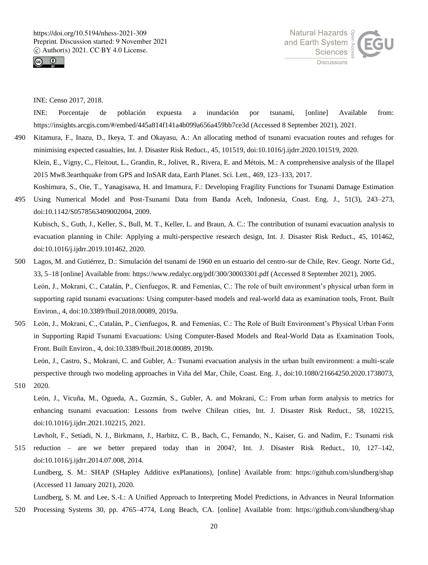



INE: Censo 2017, 2018.

INE: Porcentaje de población expuesta a inundación por tsunami, [online] Available from: https://insights.arcgis.com/#/embed/445a814f141a4b099a656a459bb7ce3d (Accessed 8 September 2021), 2021.

- 490 Kitamura, F., Inazu, D., Ikeya, T. and Okayasu, A.: An allocating method of tsunami evacuation routes and refuges for minimising expected casualties, Int. J. Disaster Risk Reduct., 45, 101519, doi:10.1016/j.ijdrr.2020.101519, 2020. Klein, E., Vigny, C., Fleitout, L., Grandin, R., Jolivet, R., Rivera, E. and Métois, M.: A comprehensive analysis of the Illapel 2015 Mw8.3earthquake from GPS and InSAR data, Earth Planet. Sci. Lett., 469, 123–133, 2017.
- Koshimura, S., Oie, T., Yanagisawa, H. and Imamura, F.: Developing Fragility Functions for Tsunami Damage Estimation 495 Using Numerical Model and Post-Tsunami Data from Banda Aceh, Indonesia, Coast. Eng. J., 51(3), 243–273, doi:10.1142/S0578563409002004, 2009.

Kubisch, S., Guth, J., Keller, S., Bull, M. T., Keller, L. and Braun, A. C.: The contribution of tsunami evacuation analysis to evacuation planning in Chile: Applying a multi-perspective research design, Int. J. Disaster Risk Reduct., 45, 101462, doi:10.1016/j.ijdrr.2019.101462, 2020.

- 500 Lagos, M. and Gutiérrez, D.: Simulación del tsunami de 1960 en un estuario del centro-sur de Chile, Rev. Geogr. Norte Gd., 33, 5–18 [online] Available from: https://www.redalyc.org/pdf/300/30003301.pdf (Accessed 8 September 2021), 2005. León, J., Mokrani, C., Catalán, P., Cienfuegos, R. and Femenías, C.: The role of built environment's physical urban form in supporting rapid tsunami evacuations: Using computer-based models and real-world data as examination tools, Front. Built Environ., 4, doi:10.3389/fbuil.2018.00089, 2019a.
- 505 León, J., Mokrani, C., Catalán, P., Cienfuegos, R. and Femenías, C.: The Role of Built Environment's Physical Urban Form in Supporting Rapid Tsunami Evacuations: Using Computer-Based Models and Real-World Data as Examination Tools, Front. Built Environ., 4, doi:10.3389/fbuil.2018.00089, 2019b.

León, J., Castro, S., Mokrani, C. and Gubler, A.: Tsunami evacuation analysis in the urban built environment: a multi-scale perspective through two modeling approaches in Viña del Mar, Chile, Coast. Eng. J., doi:10.1080/21664250.2020.1738073, 510 2020.

León, J., Vicuña, M., Ogueda, A., Guzmán, S., Gubler, A. and Mokrani, C.: From urban form analysis to metrics for enhancing tsunami evacuation: Lessons from twelve Chilean cities, Int. J. Disaster Risk Reduct., 58, 102215, doi:10.1016/j.ijdrr.2021.102215, 2021.

Løvholt, F., Setiadi, N. J., Birkmann, J., Harbitz, C. B., Bach, C., Fernando, N., Kaiser, G. and Nadim, F.: Tsunami risk

515 reduction – are we better prepared today than in 2004?, Int. J. Disaster Risk Reduct., 10, 127–142, doi:10.1016/j.ijdrr.2014.07.008, 2014. Lundberg, S. M.: SHAP (SHapley Additive exPlanations), [online] Available from: https://github.com/slundberg/shap (Accessed 11 January 2021), 2020.

Lundberg, S. M. and Lee, S.-I.: A Unified Approach to Interpreting Model Predictions, in Advances in Neural Information 520 Processing Systems 30, pp. 4765–4774, Long Beach, CA. [online] Available from: https://github.com/slundberg/shap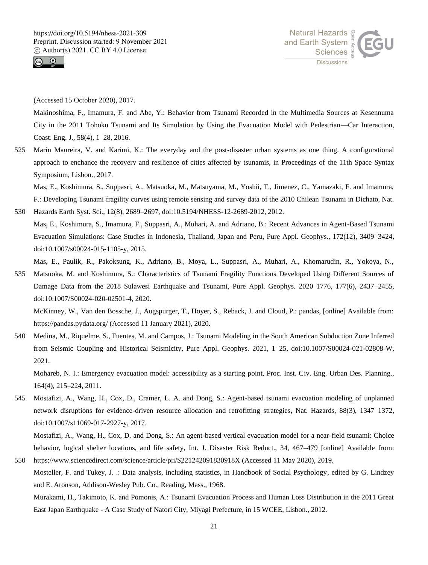



(Accessed 15 October 2020), 2017.

Makinoshima, F., Imamura, F. and Abe, Y.: Behavior from Tsunami Recorded in the Multimedia Sources at Kesennuma City in the 2011 Tohoku Tsunami and Its Simulation by Using the Evacuation Model with Pedestrian—Car Interaction, Coast. Eng. J., 58(4), 1–28, 2016.

525 Marín Maureira, V. and Karimi, K.: The everyday and the post-disaster urban systems as one thing. A configurational approach to enchance the recovery and resilience of cities affected by tsunamis, in Proceedings of the 11th Space Syntax Symposium, Lisbon., 2017.

Mas, E., Koshimura, S., Suppasri, A., Matsuoka, M., Matsuyama, M., Yoshii, T., Jimenez, C., Yamazaki, F. and Imamura, F.: Developing Tsunami fragility curves using remote sensing and survey data of the 2010 Chilean Tsunami in Dichato, Nat.

530 Hazards Earth Syst. Sci., 12(8), 2689–2697, doi:10.5194/NHESS-12-2689-2012, 2012. Mas, E., Koshimura, S., Imamura, F., Suppasri, A., Muhari, A. and Adriano, B.: Recent Advances in Agent-Based Tsunami Evacuation Simulations: Case Studies in Indonesia, Thailand, Japan and Peru, Pure Appl. Geophys., 172(12), 3409–3424, doi:10.1007/s00024-015-1105-y, 2015.

Mas, E., Paulik, R., Pakoksung, K., Adriano, B., Moya, L., Suppasri, A., Muhari, A., Khomarudin, R., Yokoya, N.,

535 Matsuoka, M. and Koshimura, S.: Characteristics of Tsunami Fragility Functions Developed Using Different Sources of Damage Data from the 2018 Sulawesi Earthquake and Tsunami, Pure Appl. Geophys. 2020 1776, 177(6), 2437–2455, doi:10.1007/S00024-020-02501-4, 2020.

McKinney, W., Van den Bossche, J., Augspurger, T., Hoyer, S., Reback, J. and Cloud, P.: pandas, [online] Available from: https://pandas.pydata.org/ (Accessed 11 January 2021), 2020.

540 Medina, M., Riquelme, S., Fuentes, M. and Campos, J.: Tsunami Modeling in the South American Subduction Zone Inferred from Seismic Coupling and Historical Seismicity, Pure Appl. Geophys. 2021, 1–25, doi:10.1007/S00024-021-02808-W, 2021.

Mohareb, N. I.: Emergency evacuation model: accessibility as a starting point, Proc. Inst. Civ. Eng. Urban Des. Planning., 164(4), 215–224, 2011.

545 Mostafizi, A., Wang, H., Cox, D., Cramer, L. A. and Dong, S.: Agent-based tsunami evacuation modeling of unplanned network disruptions for evidence-driven resource allocation and retrofitting strategies, Nat. Hazards, 88(3), 1347–1372, doi:10.1007/s11069-017-2927-y, 2017.

Mostafizi, A., Wang, H., Cox, D. and Dong, S.: An agent-based vertical evacuation model for a near-field tsunami: Choice behavior, logical shelter locations, and life safety, Int. J. Disaster Risk Reduct., 34, 467–479 [online] Available from: 550 https://www.sciencedirect.com/science/article/pii/S221242091830918X (Accessed 11 May 2020), 2019.

Mosteller, F. and Tukey, J. .: Data analysis, including statistics, in Handbook of Social Psychology, edited by G. Lindzey and E. Aronson, Addison-Wesley Pub. Co., Reading, Mass., 1968. Murakami, H., Takimoto, K. and Pomonis, A.: Tsunami Evacuation Process and Human Loss Distribution in the 2011 Great East Japan Earthquake - A Case Study of Natori City, Miyagi Prefecture, in 15 WCEE, Lisbon., 2012.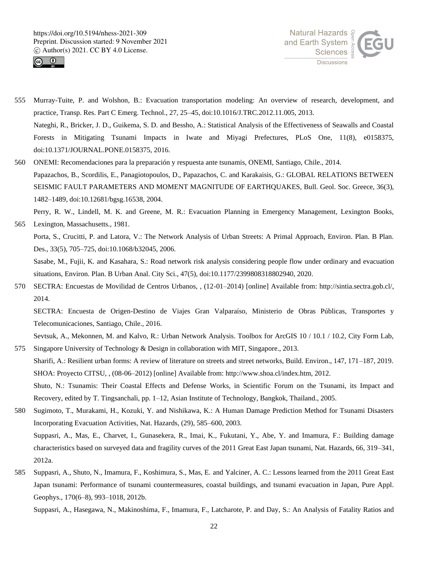

2012a.



- 555 Murray-Tuite, P. and Wolshon, B.: Evacuation transportation modeling: An overview of research, development, and practice, Transp. Res. Part C Emerg. Technol., 27, 25–45, doi:10.1016/J.TRC.2012.11.005, 2013. Nateghi, R., Bricker, J. D., Guikema, S. D. and Bessho, A.: Statistical Analysis of the Effectiveness of Seawalls and Coastal Forests in Mitigating Tsunami Impacts in Iwate and Miyagi Prefectures, PLoS One, 11(8), e0158375, doi:10.1371/JOURNAL.PONE.0158375, 2016.
- 560 ONEMI: Recomendaciones para la preparación y respuesta ante tsunamis, ONEMI, Santiago, Chile., 2014. Papazachos, B., Scordilis, E., Panagiotopoulos, D., Papazachos, C. and Karakaisis, G.: GLOBAL RELATIONS BETWEEN SEISMIC FAULT PARAMETERS AND MOMENT MAGNITUDE OF EARTHQUAKES, Bull. Geol. Soc. Greece, 36(3), 1482–1489, doi:10.12681/bgsg.16538, 2004.

Perry, R. W., Lindell, M. K. and Greene, M. R.: Evacuation Planning in Emergency Management, Lexington Books, 565 Lexington, Massachusetts., 1981.

Porta, S., Crucitti, P. and Latora, V.: The Network Analysis of Urban Streets: A Primal Approach, Environ. Plan. B Plan. Des., 33(5), 705–725, doi:10.1068/b32045, 2006.

Sasabe, M., Fujii, K. and Kasahara, S.: Road network risk analysis considering people flow under ordinary and evacuation situations, Environ. Plan. B Urban Anal. City Sci., 47(5), doi:10.1177/2399808318802940, 2020.

570 SECTRA: Encuestas de Movilidad de Centros Urbanos, , (12-01–2014) [online] Available from: http://sintia.sectra.gob.cl/, 2014.

SECTRA: Encuesta de Origen-Destino de Viajes Gran Valparaíso, Ministerio de Obras Públicas, Transportes y Telecomunicaciones, Santiago, Chile., 2016.

Sevtsuk, A., Mekonnen, M. and Kalvo, R.: Urban Network Analysis. Toolbox for ArcGIS 10 / 10.1 / 10.2, City Form Lab, 575 Singapore University of Technology & Design in collaboration with MIT, Singapore., 2013.

Sharifi, A.: Resilient urban forms: A review of literature on streets and street networks, Build. Environ., 147, 171–187, 2019. SHOA: Proyecto CITSU, , (08-06–2012) [online] Available from: http://www.shoa.cl/index.htm, 2012. Shuto, N.: Tsunamis: Their Coastal Effects and Defense Works, in Scientific Forum on the Tsunami, its Impact and

Recovery, edited by T. Tingsanchali, pp. 1–12, Asian Institute of Technology, Bangkok, Thailand., 2005. 580 Sugimoto, T., Murakami, H., Kozuki, Y. and Nishikawa, K.: A Human Damage Prediction Method for Tsunami Disasters Incorporating Evacuation Activities, Nat. Hazards, (29), 585–600, 2003. Suppasri, A., Mas, E., Charvet, I., Gunasekera, R., Imai, K., Fukutani, Y., Abe, Y. and Imamura, F.: Building damage characteristics based on surveyed data and fragility curves of the 2011 Great East Japan tsunami, Nat. Hazards, 66, 319–341,

585 Suppasri, A., Shuto, N., Imamura, F., Koshimura, S., Mas, E. and Yalciner, A. C.: Lessons learned from the 2011 Great East Japan tsunami: Performance of tsunami countermeasures, coastal buildings, and tsunami evacuation in Japan, Pure Appl. Geophys., 170(6–8), 993–1018, 2012b.

Suppasri, A., Hasegawa, N., Makinoshima, F., Imamura, F., Latcharote, P. and Day, S.: An Analysis of Fatality Ratios and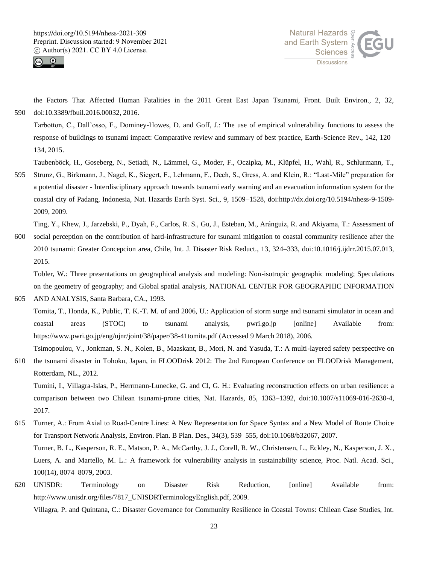



the Factors That Affected Human Fatalities in the 2011 Great East Japan Tsunami, Front. Built Environ., 2, 32, 590 doi:10.3389/fbuil.2016.00032, 2016.

Tarbotton, C., Dall'osso, F., Dominey-Howes, D. and Goff, J.: The use of empirical vulnerability functions to assess the response of buildings to tsunami impact: Comparative review and summary of best practice, Earth-Science Rev., 142, 120– 134, 2015.

Taubenböck, H., Goseberg, N., Setiadi, N., Lämmel, G., Moder, F., Oczipka, M., Klüpfel, H., Wahl, R., Schlurmann, T.,

595 Strunz, G., Birkmann, J., Nagel, K., Siegert, F., Lehmann, F., Dech, S., Gress, A. and Klein, R.: "Last-Mile" preparation for a potential disaster - Interdisciplinary approach towards tsunami early warning and an evacuation information system for the coastal city of Padang, Indonesia, Nat. Hazards Earth Syst. Sci., 9, 1509–1528, doi:http://dx.doi.org/10.5194/nhess-9-1509- 2009, 2009.

Ting, Y., Khew, J., Jarzebski, P., Dyah, F., Carlos, R. S., Gu, J., Esteban, M., Aránguiz, R. and Akiyama, T.: Assessment of

600 social perception on the contribution of hard-infrastructure for tsunami mitigation to coastal community resilience after the 2010 tsunami: Greater Concepcion area, Chile, Int. J. Disaster Risk Reduct., 13, 324–333, doi:10.1016/j.ijdrr.2015.07.013, 2015.

Tobler, W.: Three presentations on geographical analysis and modeling: Non-isotropic geographic modeling; Speculations on the geometry of geography; and Global spatial analysis, NATIONAL CENTER FOR GEOGRAPHIC INFORMATION 605 AND ANALYSIS, Santa Barbara, CA., 1993.

Tomita, T., Honda, K., Public, T. K.-T. M. of and 2006, U.: Application of storm surge and tsunami simulator in ocean and coastal areas (STOC) to tsunami analysis, pwri.go.jp [online] Available from: https://www.pwri.go.jp/eng/ujnr/joint/38/paper/38-41tomita.pdf (Accessed 9 March 2018), 2006.

Tsimopoulou, V., Jonkman, S. N., Kolen, B., Maaskant, B., Mori, N. and Yasuda, T.: A multi-layered safety perspective on 610 the tsunami disaster in Tohoku, Japan, in FLOODrisk 2012: The 2nd European Conference on FLOODrisk Management, Rotterdam, NL., 2012.

Tumini, I., Villagra-Islas, P., Herrmann-Lunecke, G. and Cl, G. H.: Evaluating reconstruction effects on urban resilience: a comparison between two Chilean tsunami-prone cities, Nat. Hazards, 85, 1363–1392, doi:10.1007/s11069-016-2630-4, 2017.

- 615 Turner, A.: From Axial to Road-Centre Lines: A New Representation for Space Syntax and a New Model of Route Choice for Transport Network Analysis, Environ. Plan. B Plan. Des., 34(3), 539–555, doi:10.1068/b32067, 2007. Turner, B. L., Kasperson, R. E., Matson, P. A., McCarthy, J. J., Corell, R. W., Christensen, L., Eckley, N., Kasperson, J. X., Luers, A. and Martello, M. L.: A framework for vulnerability analysis in sustainability science, Proc. Natl. Acad. Sci., 100(14), 8074–8079, 2003.
- 620 UNISDR: Terminology on Disaster Risk Reduction, [online] Available from: http://www.unisdr.org/files/7817\_UNISDRTerminologyEnglish.pdf, 2009.

Villagra, P. and Quintana, C.: Disaster Governance for Community Resilience in Coastal Towns: Chilean Case Studies, Int.